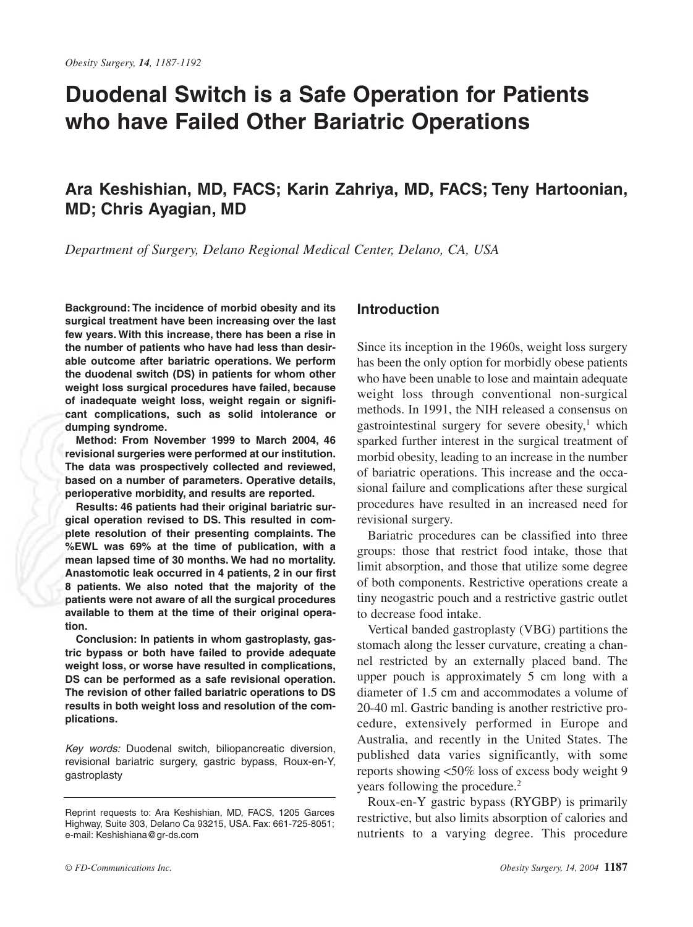# **Duodenal Switch is a Safe Operation for Patients who have Failed Other Bariatric Operations**

# **Ara Keshishian, MD, FACS; Karin Zahriya, MD, FACS; Teny Hartoonian, MD; Chris Ayagian, MD**

*Department of Surgery, Delano Regional Medical Center, Delano, CA, USA*

**Background: The incidence of morbid obesity and its surgical treatment have been increasing over the last few years. With this increase, there has been a rise in the number of patients who have had less than desirable outcome after bariatric operations. We perform the duodenal switch (DS) in patients for whom other weight loss surgical procedures have failed, because of inadequate weight loss, weight regain or significant complications, such as solid intolerance or dumping syndrome.**

**Method: From November 1999 to March 2004, 46 revisional surgeries were performed at our institution. The data was prospectively collected and reviewed, based on a number of parameters. Operative details, perioperative morbidity, and results are reported.**

**Results: 46 patients had their original bariatric surgical operation revised to DS. This resulted in complete resolution of their presenting complaints. The %EWL was 69% at the time of publication, with a mean lapsed time of 30 months. We had no mortality. Anastomotic leak occurred in 4 patients, 2 in our first 8 patients. We also noted that the majority of the patients were not aware of all the surgical procedures available to them at the time of their original operation.**

**Conclusion: In patients in whom gastroplasty, gastric bypass or both have failed to provide adequate weight loss, or worse have resulted in complications, DS can be performed as a safe revisional operation. The revision of other failed bariatric operations to DS results in both weight loss and resolution of the complications.**

Key words: Duodenal switch, biliopancreatic diversion, revisional bariatric surgery, gastric bypass, Roux-en-Y, gastroplasty

#### Delivered by Ingenta to **Introduction**

Since its inception in the 1960s, weight loss surgery has been the only option for morbidly obese patients who have been unable to lose and maintain adequate weight loss through conventional non-surgical methods. In 1991, the NIH released a consensus on gastrointestinal surgery for severe obesity, $\frac{1}{1}$  which sparked further interest in the surgical treatment of morbid obesity, leading to an increase in the number of bariatric operations. This increase and the occasional failure and complications after these surgical procedures have resulted in an increased need for revisional surgery.

Bariatric procedures can be classified into three groups: those that restrict food intake, those that limit absorption, and those that utilize some degree of both components. Restrictive operations create a tiny neogastric pouch and a restrictive gastric outlet to decrease food intake.

Vertical banded gastroplasty (VBG) partitions the stomach along the lesser curvature, creating a channel restricted by an externally placed band. The upper pouch is approximately 5 cm long with a diameter of 1.5 cm and accommodates a volume of 20-40 ml. Gastric banding is another restrictive procedure, extensively performed in Europe and Australia, and recently in the United States. The published data varies significantly, with some reports showing <50% loss of excess body weight 9 years following the procedure.<sup>2</sup>

Roux-en-Y gastric bypass (RYGBP) is primarily restrictive, but also limits absorption of calories and nutrients to a varying degree. This procedure

Reprint requests to: Ara Keshishian, MD, FACS, 1205 Garces Highway, Suite 303, Delano Ca 93215, USA. Fax: 661-725-8051; e-mail: Keshishiana@gr-ds.com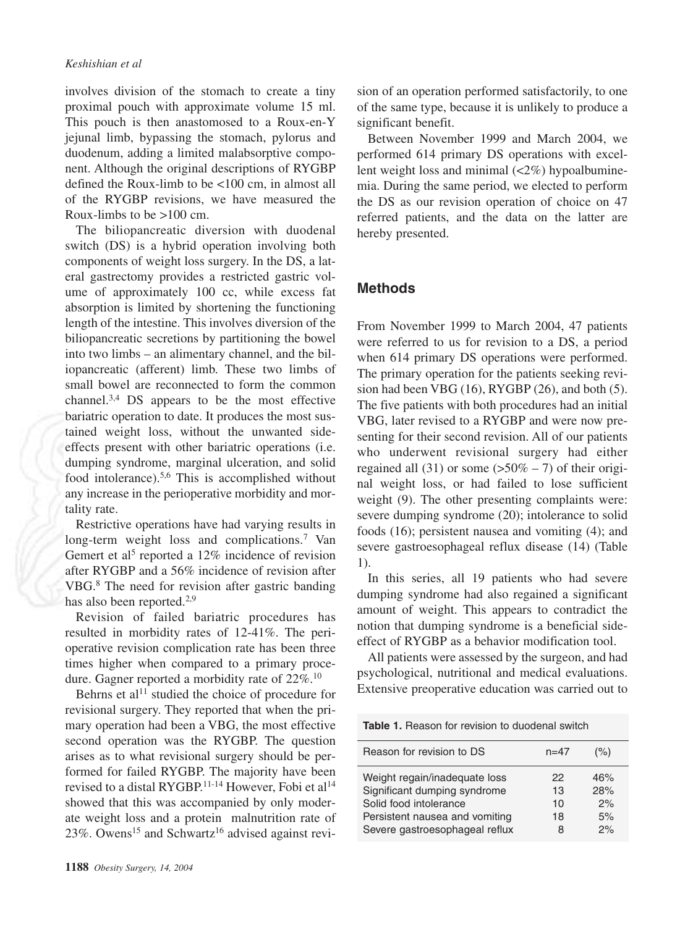#### *Keshishian et al*

involves division of the stomach to create a tiny proximal pouch with approximate volume 15 ml. This pouch is then anastomosed to a Roux-en-Y jejunal limb, bypassing the stomach, pylorus and duodenum, adding a limited malabsorptive component. Although the original descriptions of RYGBP defined the Roux-limb to be <100 cm, in almost all of the RYGBP revisions, we have measured the Roux-limbs to be  $>100$  cm.

The biliopancreatic diversion with duodenal switch (DS) is a hybrid operation involving both components of weight loss surgery. In the DS, a lateral gastrectomy provides a restricted gastric volume of approximately 100 cc, while excess fat absorption is limited by shortening the functioning length of the intestine. This involves diversion of the biliopancreatic secretions by partitioning the bowel into two limbs – an alimentary channel, and the biliopancreatic (afferent) limb. These two limbs of small bowel are reconnected to form the common channel.3,4 DS appears to be the most effective bariatric operation to date. It produces the most sustained weight loss, without the unwanted sideeffects present with other bariatric operations (i.e. dumping syndrome, marginal ulceration, and solid food intolerance).5,6 This is accomplished without any increase in the perioperative morbidity and mortality rate.

Restrictive operations have had varying results in long-term weight loss and complications.<sup>7</sup> Van Gemert et al<sup>5</sup> reported a 12% incidence of revision after RYGBP and a 56% incidence of revision after VBG.8 The need for revision after gastric banding has also been reported.<sup>2,9</sup>

Revision of failed bariatric procedures has resulted in morbidity rates of 12-41%. The perioperative revision complication rate has been three times higher when compared to a primary procedure. Gagner reported a morbidity rate of 22%.10

Behrns et  $al<sup>11</sup>$  studied the choice of procedure for revisional surgery. They reported that when the primary operation had been a VBG, the most effective second operation was the RYGBP. The question arises as to what revisional surgery should be performed for failed RYGBP. The majority have been revised to a distal RYGBP.<sup>11-14</sup> However, Fobi et al<sup>14</sup> showed that this was accompanied by only moderate weight loss and a protein malnutrition rate of  $23\%$ . Owens<sup>15</sup> and Schwartz<sup>16</sup> advised against revision of an operation performed satisfactorily, to one of the same type, because it is unlikely to produce a significant benefit.

Between November 1999 and March 2004, we performed 614 primary DS operations with excellent weight loss and minimal  $\left( \langle 2\% \rangle \right)$  hypoalbuminemia. During the same period, we elected to perform the DS as our revision operation of choice on 47 referred patients, and the data on the latter are hereby presented.

## **Methods**

From November 1999 to March 2004, 47 patients were referred to us for revision to a DS, a period when 614 primary DS operations were performed. The primary operation for the patients seeking revision had been VBG (16), RYGBP (26), and both (5). The five patients with both procedures had an initial VBG, later revised to a RYGBP and were now presenting for their second revision. All of our patients who underwent revisional surgery had either regained all  $(31)$  or some  $(50\% - 7)$  of their original weight loss, or had failed to lose sufficient weight (9). The other presenting complaints were: severe dumping syndrome (20); intolerance to solid foods (16); persistent nausea and vomiting (4); and severe gastroesophageal reflux disease (14) (Table 1).

In this series, all 19 patients who had severe dumping syndrome had also regained a significant amount of weight. This appears to contradict the notion that dumping syndrome is a beneficial sideeffect of RYGBP as a behavior modification tool.

All patients were assessed by the surgeon, and had psychological, nutritional and medical evaluations. Extensive preoperative education was carried out to

**Table 1.** Reason for revision to duodenal switch

| Reason for revision to DS      | $n = 47$ | $(\%)$ |
|--------------------------------|----------|--------|
| Weight regain/inadequate loss  | 22       | 46%    |
| Significant dumping syndrome   | 13       | 28%    |
| Solid food intolerance         | 10       | 2%     |
| Persistent nausea and vomiting | 18       | 5%     |
| Severe gastroesophageal reflux | 8        | 2%     |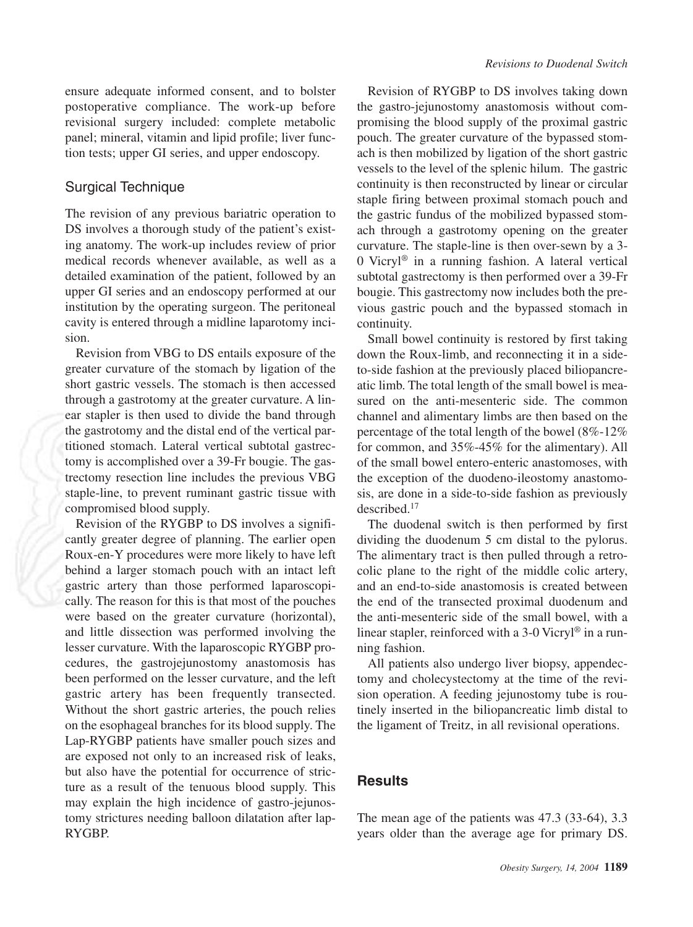ensure adequate informed consent, and to bolster postoperative compliance. The work-up before revisional surgery included: complete metabolic panel; mineral, vitamin and lipid profile; liver function tests; upper GI series, and upper endoscopy.

#### Surgical Technique

The revision of any previous bariatric operation to DS involves a thorough study of the patient's existing anatomy. The work-up includes review of prior medical records whenever available, as well as a detailed examination of the patient, followed by an upper GI series and an endoscopy performed at our institution by the operating surgeon. The peritoneal cavity is entered through a midline laparotomy incision.

Revision from VBG to DS entails exposure of the greater curvature of the stomach by ligation of the short gastric vessels. The stomach is then accessed through a gastrotomy at the greater curvature. A linear stapler is then used to divide the band through the gastrotomy and the distal end of the vertical partitioned stomach. Lateral vertical subtotal gastrectomy is accomplished over a 39-Fr bougie. The gastrectomy resection line includes the previous VBG staple-line, to prevent ruminant gastric tissue with compromised blood supply.

Revision of the RYGBP to DS involves a significantly greater degree of planning. The earlier open Roux-en-Y procedures were more likely to have left behind a larger stomach pouch with an intact left gastric artery than those performed laparoscopically. The reason for this is that most of the pouches were based on the greater curvature (horizontal), and little dissection was performed involving the lesser curvature. With the laparoscopic RYGBP procedures, the gastrojejunostomy anastomosis has been performed on the lesser curvature, and the left gastric artery has been frequently transected. Without the short gastric arteries, the pouch relies on the esophageal branches for its blood supply. The Lap-RYGBP patients have smaller pouch sizes and are exposed not only to an increased risk of leaks, but also have the potential for occurrence of stricture as a result of the tenuous blood supply. This may explain the high incidence of gastro-jejunostomy strictures needing balloon dilatation after lap-RYGBP.

bought. This gusticetom vious gastric pouch and the bypassed stomach in continuity. Revision of RYGBP to DS involves taking down the gastro-jejunostomy anastomosis without compromising the blood supply of the proximal gastric pouch. The greater curvature of the bypassed stomach is then mobilized by ligation of the short gastric vessels to the level of the splenic hilum. The gastric continuity is then reconstructed by linear or circular staple firing between proximal stomach pouch and the gastric fundus of the mobilized bypassed stomach through a gastrotomy opening on the greater curvature. The staple-line is then over-sewn by a 3- 0 Vicryl® in a running fashion. A lateral vertical subtotal gastrectomy is then performed over a 39-Fr bougie. This gastrectomy now includes both the pre-

Small bowel continuity is restored by first taking down the Roux-limb, and reconnecting it in a sideto-side fashion at the previously placed biliopancreatic limb. The total length of the small bowel is measured on the anti-mesenteric side. The common channel and alimentary limbs are then based on the percentage of the total length of the bowel (8%-12% for common, and 35%-45% for the alimentary). All of the small bowel entero-enteric anastomoses, with the exception of the duodeno-ileostomy anastomosis, are done in a side-to-side fashion as previously described.17

The duodenal switch is then performed by first dividing the duodenum 5 cm distal to the pylorus. The alimentary tract is then pulled through a retrocolic plane to the right of the middle colic artery, and an end-to-side anastomosis is created between the end of the transected proximal duodenum and the anti-mesenteric side of the small bowel, with a linear stapler, reinforced with a 3-0 Vicryl® in a running fashion.

All patients also undergo liver biopsy, appendectomy and cholecystectomy at the time of the revision operation. A feeding jejunostomy tube is routinely inserted in the biliopancreatic limb distal to the ligament of Treitz, in all revisional operations.

## **Results**

The mean age of the patients was 47.3 (33-64), 3.3 years older than the average age for primary DS.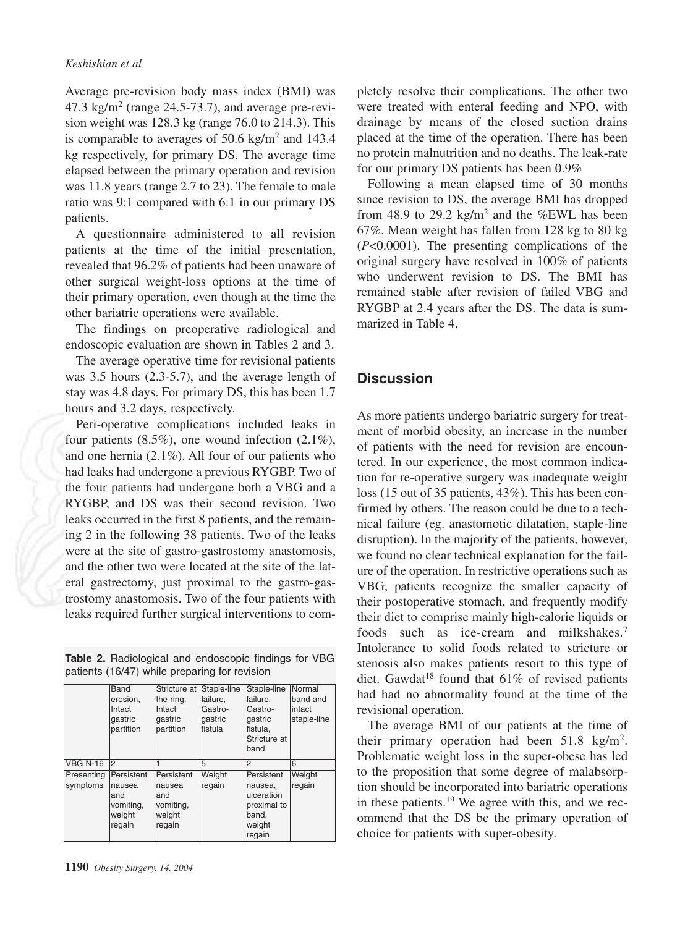Average pre-revision body mass index (BMI) was 47.3 kg/m<sup>2</sup> (range  $24.5$ -73.7), and average pre-revision weight was 128.3 kg (range 76.0 to 214.3). This is comparable to averages of  $50.6 \text{ kg/m}^2$  and  $143.4$ kg respectively, for primary DS. The average time elapsed between the primary operation and revision was 11.8 years (range 2.7 to 23). The female to male ratio was 9:1 compared with 6:1 in our primary DS patients.

A questionnaire administered to all revision patients at the time of the initial presentation, revealed that 96.2% of patients had been unaware of other surgical weight-loss options at the time of their primary operation, even though at the time the other bariatric operations were available.

The findings on preoperative radiological and endoscopic evaluation are shown in Tables 2 and 3.

The average operative time for revisional patients was 3.5 hours (2.3-5.7), and the average length of stay was 4.8 days. For primary DS, this has been 1.7 hours and 3.2 days, respectively.

Peri-operative complications included leaks in four patients  $(8.5\%)$ , one wound infection  $(2.1\%)$ , and one hernia (2.1%). All four of our patients who had leaks had undergone a previous RYGBP. Two of the four patients had undergone both a VBG and a RYGBP, and DS was their second revision. Two leaks occurred in the first 8 patients, and the remaining 2 in the following 38 patients. Two of the leaks were at the site of gastro-gastrostomy anastomosis, and the other two were located at the site of the lateral gastrectomy, just proximal to the gastro-gastrostomy anastomosis. Two of the four patients with leaks required further surgical interventions to com-

|  | <b>Table 2.</b> Radiological and endoscopic findings for VBG |  |  |
|--|--------------------------------------------------------------|--|--|
|  | patients (16/47) while preparing for revision                |  |  |

|            | Band       | Stricture at Staple-line |          | Staple-line  | Normal      |
|------------|------------|--------------------------|----------|--------------|-------------|
|            | erosion,   | the ring.                | failure, | failure.     | band and    |
|            | Intact     | Intact                   | Gastro-  | Gastro-      | intact      |
|            | qastric    | qastric                  | qastric  | qastric      | staple-line |
|            | partition  | partition                | fistula  | fistula,     |             |
|            |            |                          |          | Stricture at |             |
|            |            |                          |          | band         |             |
| VBG N-16   | 2          |                          | 5        | 2            | 6           |
|            |            |                          |          |              |             |
| Presenting | Persistent | Persistent               | Weight   | Persistent   | Weight      |
| symptoms   | nausea     | nausea                   | regain   | nausea,      | regain      |
|            | and        | and                      |          | ulceration   |             |
|            | vomiting,  | vomiting,                |          | proximal to  |             |
|            | weight     | weight                   |          | band.        |             |
|            | regain     | regain                   |          | weight       |             |
|            |            |                          |          |              |             |

pletely resolve their complications. The other two were treated with enteral feeding and NPO, with drainage by means of the closed suction drains placed at the time of the operation. There has been no protein malnutrition and no deaths. The leak-rate for our primary DS patients has been 0.9%

DVGRD of 2.4 years of RYGBP at 2.4 years after the DS. The data is summarized in Table 4. Following a mean elapsed time of 30 months since revision to DS, the average BMI has dropped from 48.9 to 29.2 kg/m<sup>2</sup> and the %EWL has been 67%. Mean weight has fallen from 128 kg to 80 kg (*P*<0.0001). The presenting complications of the original surgery have resolved in 100% of patients who underwent revision to DS. The BMI has remained stable after revision of failed VBG and

## **Discussion**

As more patients undergo bariatric surgery for treatment of morbid obesity, an increase in the number of patients with the need for revision are encountered. In our experience, the most common indication for re-operative surgery was inadequate weight loss (15 out of 35 patients, 43%). This has been confirmed by others. The reason could be due to a technical failure (eg. anastomotic dilatation, staple-line disruption). In the majority of the patients, however, we found no clear technical explanation for the failure of the operation. In restrictive operations such as VBG, patients recognize the smaller capacity of their postoperative stomach, and frequently modify their diet to comprise mainly high-calorie liquids or foods such as ice-cream and milkshakes.7 Intolerance to solid foods related to stricture or stenosis also makes patients resort to this type of diet. Gawdat<sup>18</sup> found that  $61\%$  of revised patients had had no abnormality found at the time of the revisional operation.

The average BMI of our patients at the time of their primary operation had been  $51.8 \text{ kg/m}^2$ . Problematic weight loss in the super-obese has led to the proposition that some degree of malabsorption should be incorporated into bariatric operations in these patients.<sup>19</sup> We agree with this, and we recommend that the DS be the primary operation of choice for patients with super-obesity.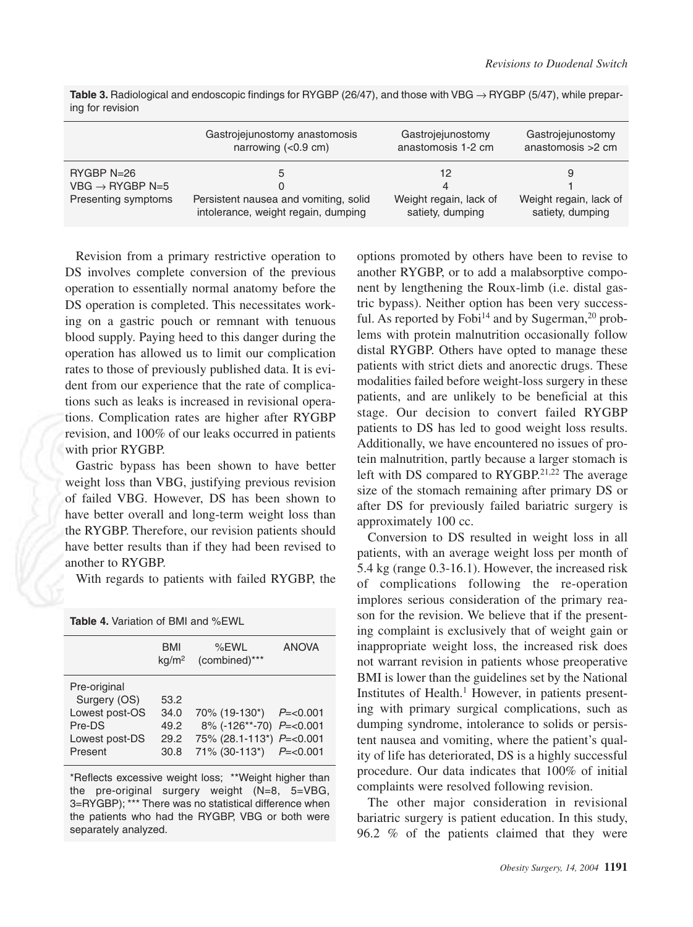|                                                                    | Gastrojejunostomy anastomosis<br>narrowing $(0.9 \text{ cm})$                                 | Gastrojejunostomy<br>anastomosis 1-2 cm               | Gastrojejunostomy<br>anastomosis > 2 cm    |
|--------------------------------------------------------------------|-----------------------------------------------------------------------------------------------|-------------------------------------------------------|--------------------------------------------|
| $RYGBP N=26$<br>VBG $\rightarrow$ RYGBP N=5<br>Presenting symptoms | b<br>$\Omega$<br>Persistent nausea and vomiting, solid<br>intolerance, weight regain, dumping | 12<br>4<br>Weight regain, lack of<br>satiety, dumping | Weight regain, lack of<br>satiety, dumping |

**Table 3.** Radiological and endoscopic findings for RYGBP (26/47), and those with VBG → RYGBP (5/47), while preparing for revision

Revision from a primary restrictive operation to DS involves complete conversion of the previous operation to essentially normal anatomy before the DS operation is completed. This necessitates working on a gastric pouch or remnant with tenuous blood supply. Paying heed to this danger during the operation has allowed us to limit our complication rates to those of previously published data. It is evident from our experience that the rate of complications such as leaks is increased in revisional operations. Complication rates are higher after RYGBP revision, and 100% of our leaks occurred in patients with prior RYGBP.

Gastric bypass has been shown to have better weight loss than VBG, justifying previous revision of failed VBG. However, DS has been shown to have better overall and long-term weight loss than the RYGBP. Therefore, our revision patients should have better results than if they had been revised to another to RYGBP.

With regards to patients with failed RYGBP, the

| <b>Table 4.</b> Variation of BMI and %EWL                                             |                                      |                                                                                                     |               |  |
|---------------------------------------------------------------------------------------|--------------------------------------|-----------------------------------------------------------------------------------------------------|---------------|--|
|                                                                                       | BMI<br>kg/m <sup>2</sup>             | %EWL<br>(combined)***                                                                               | <b>ANOVA</b>  |  |
| Pre-original<br>Surgery (OS)<br>Lowest post-OS<br>Pre-DS<br>Lowest post-DS<br>Present | 53.2<br>34.0<br>49.2<br>29.2<br>30.8 | 70% (19-130*)<br>8% (-126**-70) P=<0.001<br>75% (28.1-113*) P=<0.001<br>71% (30-113*) $P = < 0.001$ | $P = < 0.001$ |  |

\*Reflects excessive weight loss; \*\*Weight higher than the pre-original surgery weight (N=8, 5=VBG, 3=RYGBP); \*\*\* There was no statistical difference when the patients who had the RYGBP, VBG or both were separately analyzed.

tric bypass). Neither option has been very successful. As reported by Fobi<sup>14</sup> and by Sugerman,<sup>20</sup> prob-Ian. 130 reported by lems with protein malnutrition occasionally follow options promoted by others have been to revise to another RYGBP, or to add a malabsorptive component by lengthening the Roux-limb (i.e. distal gasdistal RYGBP. Others have opted to manage these patients with strict diets and anorectic drugs. These modalities failed before weight-loss surgery in these patients, and are unlikely to be beneficial at this stage. Our decision to convert failed RYGBP patients to DS has led to good weight loss results. Additionally, we have encountered no issues of protein malnutrition, partly because a larger stomach is left with DS compared to RYGBP.<sup>21,22</sup> The average size of the stomach remaining after primary DS or after DS for previously failed bariatric surgery is approximately 100 cc.

Conversion to DS resulted in weight loss in all patients, with an average weight loss per month of 5.4 kg (range 0.3-16.1). However, the increased risk of complications following the re-operation implores serious consideration of the primary reason for the revision. We believe that if the presenting complaint is exclusively that of weight gain or inappropriate weight loss, the increased risk does not warrant revision in patients whose preoperative BMI is lower than the guidelines set by the National Institutes of Health.<sup>1</sup> However, in patients presenting with primary surgical complications, such as dumping syndrome, intolerance to solids or persistent nausea and vomiting, where the patient's quality of life has deteriorated, DS is a highly successful procedure. Our data indicates that 100% of initial complaints were resolved following revision.

The other major consideration in revisional bariatric surgery is patient education. In this study, 96.2 % of the patients claimed that they were